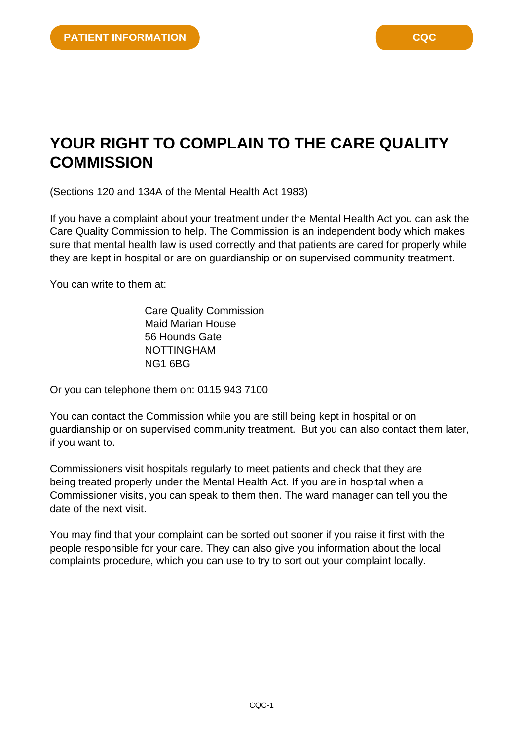## **YOUR RIGHT TO COMPLAIN TO THE CARE QUALITY COMMISSION**

(Sections 120 and 134A of the Mental Health Act 1983)

If you have a complaint about your treatment under the Mental Health Act you can ask the Care Quality Commission to help. The Commission is an independent body which makes sure that mental health law is used correctly and that patients are cared for properly while they are kept in hospital or are on guardianship or on supervised community treatment.

You can write to them at:

Care Quality Commission Maid Marian House 56 Hounds Gate NOTTINGHAM NG1 6BG

Or you can telephone them on: 0115 943 7100

You can contact the Commission while you are still being kept in hospital or on guardianship or on supervised community treatment. But you can also contact them later, if you want to.

Commissioners visit hospitals regularly to meet patients and check that they are being treated properly under the Mental Health Act. If you are in hospital when a Commissioner visits, you can speak to them then. The ward manager can tell you the date of the next visit.

You may find that your complaint can be sorted out sooner if you raise it first with the people responsible for your care. They can also give you information about the local complaints procedure, which you can use to try to sort out your complaint locally.